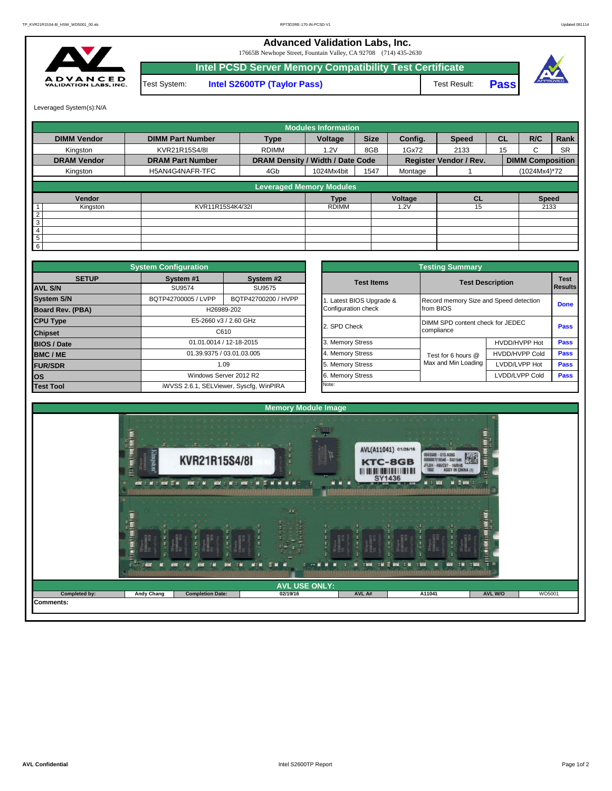## **Advanced Validation Labs, Inc.**

17665B Newhope Street, Fountain Valley, CA 92708 (714) 435-2630



**Intel PCSD Server Memory Compatibility Test Certificate Pass** Test System: **Intel S2600TP (Taylor Pass)** Test Result:



Leveraged System(s):N/A

|                    |                         |                                  | <b>Modules Information</b> |             |         |                               |           |                         |           |
|--------------------|-------------------------|----------------------------------|----------------------------|-------------|---------|-------------------------------|-----------|-------------------------|-----------|
| <b>DIMM Vendor</b> | <b>DIMM Part Number</b> | <b>Type</b>                      | Voltage                    | <b>Size</b> | Config. | <b>Speed</b>                  | <b>CL</b> | R/C                     | Rank      |
| Kinaston           | KVR21R15S4/8I           | <b>RDIMM</b>                     | 1.2V                       | 8GB         | 1Gx72   | 2133                          | 15        | C                       | <b>SR</b> |
| <b>DRAM Vendor</b> | <b>DRAM Part Number</b> | DRAM Density / Width / Date Code |                            |             |         | <b>Register Vendor / Rev.</b> |           | <b>DIMM Composition</b> |           |
| Kingston           | H5AN4G4NAFR-TFC         | 4Gb                              | 1024Mx4bit                 | 1547        | Montage |                               |           | (1024Mx4)*72            |           |
|                    |                         | <b>Leveraged Memory Modules</b>  |                            |             |         |                               |           |                         |           |
|                    |                         |                                  |                            |             |         |                               |           |                         |           |
| Vendor             |                         |                                  | <b>Type</b>                |             | Voltage | <b>CL</b>                     |           | <b>Speed</b>            |           |
| Kingston           | KVR11R15S4K4/32I        |                                  | <b>RDIMM</b>               |             | .2V     | 15                            |           | 2133                    |           |
| 2                  |                         |                                  |                            |             |         |                               |           |                         |           |
| $\overline{3}$     |                         |                                  |                            |             |         |                               |           |                         |           |
| $\overline{4}$     |                         |                                  |                            |             |         |                               |           |                         |           |
| 5                  |                         |                                  |                            |             |         |                               |           |                         |           |
| $6 \,$             |                         |                                  |                            |             |         |                               |           |                         |           |

|                    | <b>System Configuration</b> |                                         |  |                       | <b>Testing Summary</b>                 |                         |             |  |  |
|--------------------|-----------------------------|-----------------------------------------|--|-----------------------|----------------------------------------|-------------------------|-------------|--|--|
| <b>SETUP</b>       | System #1                   | System #2                               |  | <b>Test Items</b>     |                                        | <b>Test Description</b> | <b>Test</b> |  |  |
| <b>AVL S/N</b>     | SU9574                      | SU9575                                  |  |                       |                                        |                         | Results     |  |  |
| <b>System S/N</b>  | BQTP42700005 / LVPP         | BQTP42700200 / HVPP                     |  | Latest BIOS Upgrade & | Record memory Size and Speed detection |                         | <b>Done</b> |  |  |
| Board Rev. (PBA)   |                             | H26989-202                              |  | Configuration check   | from BIOS                              |                         |             |  |  |
| <b>CPU Type</b>    | E5-2660 v3 / 2.60 GHz       |                                         |  | 2. SPD Check          | DIMM SPD content check for JEDEC       | Pass                    |             |  |  |
| <b>Chipset</b>     | C610                        |                                         |  |                       | compliance                             |                         |             |  |  |
| <b>BIOS / Date</b> |                             | 01.01.0014 / 12-18-2015                 |  | 3. Memory Stress      |                                        | HVDD/HVPP Hot           | <b>Pass</b> |  |  |
| <b>BMC/ME</b>      |                             | 01.39.9375 / 03.01.03.005               |  | 4. Memory Stress      | Test for 6 hours @                     | <b>HVDD/HVPP Cold</b>   | <b>Pass</b> |  |  |
| <b>FUR/SDR</b>     |                             | 1.09                                    |  |                       | Max and Min Loading                    | LVDD/LVPP Hot           | <b>Pass</b> |  |  |
| <b>los</b>         |                             | Windows Server 2012 R2                  |  | 6. Memory Stress      |                                        | LVDD/LVPP Cold          | Pass        |  |  |
| <b>Test Tool</b>   |                             | iWVSS 2.6.1, SELViewer, Syscfq, WinPIRA |  | Note:                 |                                        |                         |             |  |  |

|              | <b>System Configuration</b> |                                         |                       | <b>Testing Summary</b>                 |                         |                                                                                      |  |  |  |
|--------------|-----------------------------|-----------------------------------------|-----------------------|----------------------------------------|-------------------------|--------------------------------------------------------------------------------------|--|--|--|
| <b>SETUP</b> | System #1                   | System #2                               | <b>Test Items</b>     |                                        | <b>Test Description</b> |                                                                                      |  |  |  |
|              | SU9574                      | SU9575                                  |                       |                                        |                         | <b>Test</b><br><b>Results</b><br><b>Done</b><br>Pass<br>Pass<br>Pass<br>Pass<br>Pass |  |  |  |
|              | BQTP42700005 / LVPP         | BQTP42700200 / HVPP                     | Latest BIOS Upgrade & | Record memory Size and Speed detection |                         |                                                                                      |  |  |  |
| PBA)         |                             | H26989-202                              | Configuration check   | from BIOS                              |                         |                                                                                      |  |  |  |
|              |                             | E5-2660 v3 / 2.60 GHz                   | 2. SPD Check          | DIMM SPD content check for JEDEC       |                         |                                                                                      |  |  |  |
|              |                             | C610                                    |                       | compliance                             |                         |                                                                                      |  |  |  |
|              |                             | 01.01.0014 / 12-18-2015                 | 3. Memory Stress      |                                        | HVDD/HVPP Hot           |                                                                                      |  |  |  |
|              |                             | 01.39.9375 / 03.01.03.005               | 4. Memory Stress      | Test for 6 hours @                     | HVDD/HVPP Cold          |                                                                                      |  |  |  |
|              |                             | 1.09                                    | 5. Memory Stress      | Max and Min Loading                    | LVDD/LVPP Hot           |                                                                                      |  |  |  |
|              |                             | Windows Server 2012 R2                  | 6. Memory Stress      |                                        | LVDD/LVPP Cold          |                                                                                      |  |  |  |
|              |                             | iWVSS 2.6.1, SELViewer, Syscfg, WinPIRA | Note:                 |                                        |                         |                                                                                      |  |  |  |